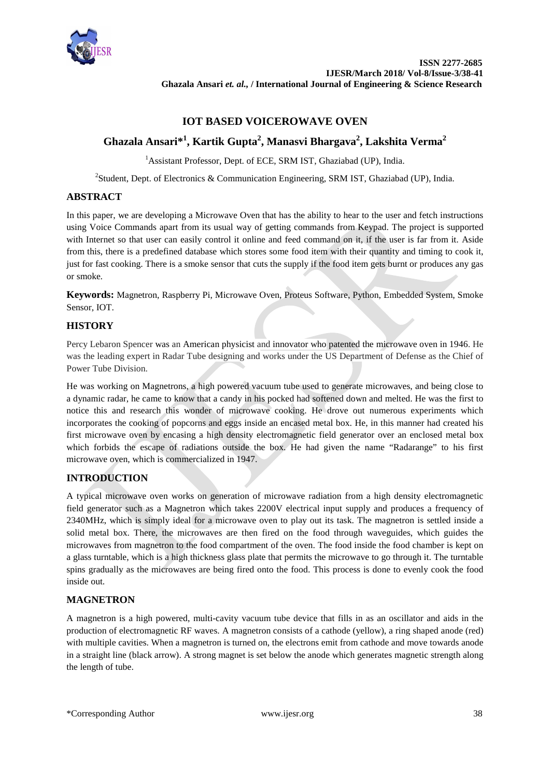

# **IOT BASED VOICEROWAVE OVEN**

# **Ghazala Ansari\*<sup>1</sup> , Kartik Gupta<sup>2</sup> , Manasvi Bhargava2 , Lakshita Verma2**

<sup>1</sup> Assistant Professor, Dept. of ECE, SRM IST, Ghaziabad (UP), India.

<sup>2</sup>Student, Dept. of Electronics & Communication Engineering, SRM IST, Ghaziabad (UP), India.

# **ABSTRACT**

In this paper, we are developing a Microwave Oven that has the ability to hear to the user and fetch instructions using Voice Commands apart from its usual way of getting commands from Keypad. The project is supported with Internet so that user can easily control it online and feed command on it, if the user is far from it. Aside from this, there is a predefined database which stores some food item with their quantity and timing to cook it, just for fast cooking. There is a smoke sensor that cuts the supply if the food item gets burnt or produces any gas or smoke*.*

**Keywords:** Magnetron, Raspberry Pi, Microwave Oven, Proteus Software, Python, Embedded System, Smoke Sensor, IOT.

# **HISTORY**

Percy Lebaron Spencer was an American physicist and innovator who patented the microwave oven in 1946. He was the leading expert in Radar Tube designing and works under the US Department of Defense as the Chief of Power Tube Division.

He was working on Magnetrons, a high powered vacuum tube used to generate microwaves, and being close to a dynamic radar, he came to know that a candy in his pocked had softened down and melted. He was the first to notice this and research this wonder of microwave cooking. He drove out numerous experiments which incorporates the cooking of popcorns and eggs inside an encased metal box. He, in this manner had created his first microwave oven by encasing a high density electromagnetic field generator over an enclosed metal box which forbids the escape of radiations outside the box. He had given the name "Radarange" to his first microwave oven, which is commercialized in 1947.

# **INTRODUCTION**

A typical microwave oven works on generation of microwave radiation from a high density electromagnetic field generator such as a Magnetron which takes 2200V electrical input supply and produces a frequency of 2340MHz, which is simply ideal for a microwave oven to play out its task. The magnetron is settled inside a solid metal box. There, the microwaves are then fired on the food through waveguides, which guides the microwaves from magnetron to the food compartment of the oven. The food inside the food chamber is kept on a glass turntable, which is a high thickness glass plate that permits the microwave to go through it. The turntable spins gradually as the microwaves are being fired onto the food. This process is done to evenly cook the food inside out.

### **MAGNETRON**

A magnetron is a high powered, multi-cavity vacuum tube device that fills in as an oscillator and aids in the production of electromagnetic RF waves. A magnetron consists of a cathode (yellow), a ring shaped anode (red) with multiple cavities. When a magnetron is turned on, the electrons emit from cathode and move towards anode in a straight line (black arrow). A strong magnet is set below the anode which generates magnetic strength along the length of tube.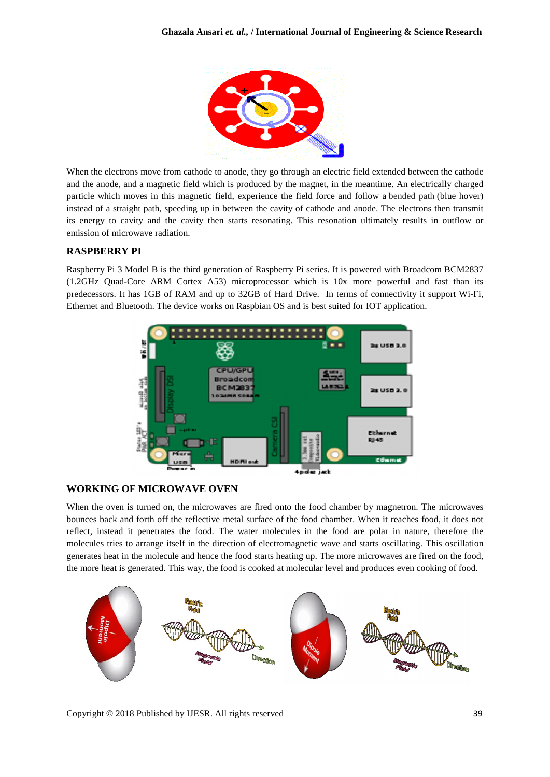

When the electrons move from cathode to anode, they go through an electric field extended between the cathode and the anode, and a magnetic field which is produced by the magnet, in the meantime. An electrically charged particle which moves in this magnetic field, experience the field force and follow a bended path (blue hover) instead of a straight path, speeding up in between the cavity of cathode and anode. The electrons then transmit its energy to cavity and the cavity then starts resonating. This resonation ultimately results in outflow or emission of microwave radiation.

# **RASPBERRY PI**

Raspberry Pi 3 Model B is the third generation of Raspberry Pi series. It is powered with Broadcom BCM2837 (1.2GHz Quad-Core ARM Cortex A53) microprocessor which is 10x more powerful and fast than its predecessors. It has 1GB of RAM and up to 32GB of Hard Drive. In terms of connectivity it support Wi-Fi, Ethernet and Bluetooth. The device works on Raspbian OS and is best suited for IOT application.



### **WORKING OF MICROWAVE OVEN**

When the oven is turned on, the microwaves are fired onto the food chamber by magnetron. The microwaves bounces back and forth off the reflective metal surface of the food chamber. When it reaches food, it does not reflect, instead it penetrates the food. The water molecules in the food are polar in nature, therefore the molecules tries to arrange itself in the direction of electromagnetic wave and starts oscillating. This oscillation generates heat in the molecule and hence the food starts heating up. The more microwaves are fired on the food, the more heat is generated. This way, the food is cooked at molecular level and produces even cooking of food.

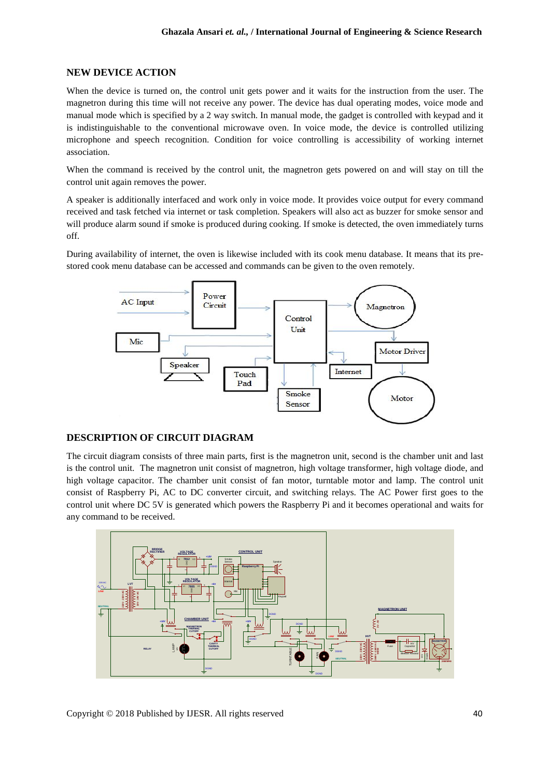### **NEW DEVICE ACTION**

When the device is turned on, the control unit gets power and it waits for the instruction from the user. The magnetron during this time will not receive any power. The device has dual operating modes, voice mode and manual mode which is specified by a 2 way switch. In manual mode, the gadget is controlled with keypad and it is indistinguishable to the conventional microwave oven. In voice mode, the device is controlled utilizing microphone and speech recognition. Condition for voice controlling is accessibility of working internet association.

When the command is received by the control unit, the magnetron gets powered on and will stay on till the control unit again removes the power.

A speaker is additionally interfaced and work only in voice mode. It provides voice output for every command received and task fetched via internet or task completion. Speakers will also act as buzzer for smoke sensor and will produce alarm sound if smoke is produced during cooking. If smoke is detected, the oven immediately turns off.

During availability of internet, the oven is likewise included with its cook menu database. It means that its prestored cook menu database can be accessed and commands can be given to the oven remotely.



#### **DESCRIPTION OF CIRCUIT DIAGRAM**

The circuit diagram consists of three main parts, first is the magnetron unit, second is the chamber unit and last is the control unit. The magnetron unit consist of magnetron, high voltage transformer, high voltage diode, and high voltage capacitor. The chamber unit consist of fan motor, turntable motor and lamp. The control unit consist of Raspberry Pi, AC to DC converter circuit, and switching relays. The AC Power first goes to the control unit where DC 5V is generated which powers the Raspberry Pi and it becomes operational and waits for any command to be received.